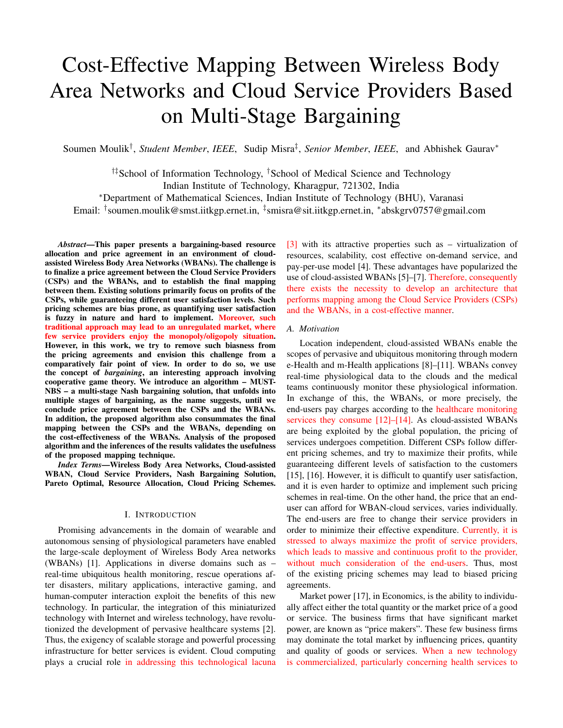# Cost-Effective Mapping Between Wireless Body Area Networks and Cloud Service Providers Based on Multi-Stage Bargaining

Soumen Moulik† , *Student Member*, *IEEE*, Sudip Misra‡ , *Senior Member*, *IEEE*, and Abhishek Gaurav<sup>∗</sup>

†‡School of Information Technology, †School of Medical Science and Technology Indian Institute of Technology, Kharagpur, 721302, India <sup>∗</sup>Department of Mathematical Sciences, Indian Institute of Technology (BHU), Varanasi

Email: <sup>†</sup>soumen.moulik@smst.iitkgp.ernet.in, <sup>‡</sup>smisra@sit.iitkgp.ernet.in, \*abskgrv0757@gmail.com

*Abstract*—This paper presents a bargaining-based resource allocation and price agreement in an environment of cloudassisted Wireless Body Area Networks (WBANs). The challenge is to finalize a price agreement between the Cloud Service Providers (CSPs) and the WBANs, and to establish the final mapping between them. Existing solutions primarily focus on profits of the CSPs, while guaranteeing different user satisfaction levels. Such pricing schemes are bias prone, as quantifying user satisfaction is fuzzy in nature and hard to implement. Moreover, such traditional approach may lead to an unregulated market, where few service providers enjoy the monopoly/oligopoly situation. However, in this work, we try to remove such biasness from the pricing agreements and envision this challenge from a comparatively fair point of view. In order to do so, we use the concept of *bargaining*, an interesting approach involving cooperative game theory. We introduce an algorithm – MUST-NBS – a multi-stage Nash bargaining solution, that unfolds into multiple stages of bargaining, as the name suggests, until we conclude price agreement between the CSPs and the WBANs. In addition, the proposed algorithm also consummates the final mapping between the CSPs and the WBANs, depending on the cost-effectiveness of the WBANs. Analysis of the proposed algorithm and the inferences of the results validates the usefulness of the proposed mapping technique.

*Index Terms*—Wireless Body Area Networks, Cloud-assisted WBAN, Cloud Service Providers, Nash Bargaining Solution, Pareto Optimal, Resource Allocation, Cloud Pricing Schemes.

#### I. INTRODUCTION

Promising advancements in the domain of wearable and autonomous sensing of physiological parameters have enabled the large-scale deployment of Wireless Body Area networks (WBANs) [1]. Applications in diverse domains such as – real-time ubiquitous health monitoring, rescue operations after disasters, military applications, interactive gaming, and human-computer interaction exploit the benefits of this new technology. In particular, the integration of this miniaturized technology with Internet and wireless technology, have revolutionized the development of pervasive healthcare systems [2]. Thus, the exigency of scalable storage and powerful processing infrastructure for better services is evident. Cloud computing plays a crucial role in addressing this technological lacuna

[3] with its attractive properties such as – virtualization of resources, scalability, cost effective on-demand service, and pay-per-use model [4]. These advantages have popularized the use of cloud-assisted WBANs [5]–[7]. Therefore, consequently there exists the necessity to develop an architecture that performs mapping among the Cloud Service Providers (CSPs) and the WBANs, in a cost-effective manner.

#### *A. Motivation*

Location independent, cloud-assisted WBANs enable the scopes of pervasive and ubiquitous monitoring through modern e-Health and m-Health applications [8]–[11]. WBANs convey real-time physiological data to the clouds and the medical teams continuously monitor these physiological information. In exchange of this, the WBANs, or more precisely, the end-users pay charges according to the healthcare monitoring services they consume [12]–[14]. As cloud-assisted WBANs are being exploited by the global population, the pricing of services undergoes competition. Different CSPs follow different pricing schemes, and try to maximize their profits, while guaranteeing different levels of satisfaction to the customers [15], [16]. However, it is difficult to quantify user satisfaction, and it is even harder to optimize and implement such pricing schemes in real-time. On the other hand, the price that an enduser can afford for WBAN-cloud services, varies individually. The end-users are free to change their service providers in order to minimize their effective expenditure. Currently, it is stressed to always maximize the profit of service providers, which leads to massive and continuous profit to the provider, without much consideration of the end-users. Thus, most of the existing pricing schemes may lead to biased pricing agreements.

Market power [17], in Economics, is the ability to individually affect either the total quantity or the market price of a good or service. The business firms that have significant market power, are known as "price makers". These few business firms may dominate the total market by influencing prices, quantity and quality of goods or services. When a new technology is commercialized, particularly concerning health services to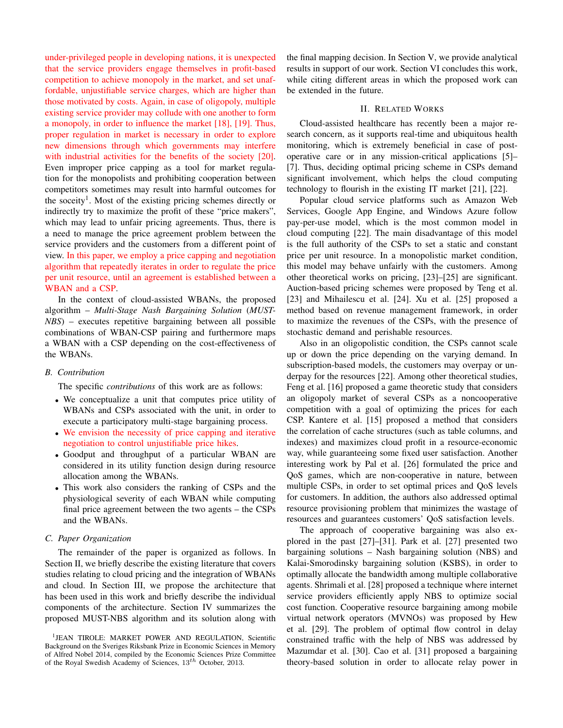under-privileged people in developing nations, it is unexpected that the service providers engage themselves in profit-based competition to achieve monopoly in the market, and set unaffordable, unjustifiable service charges, which are higher than those motivated by costs. Again, in case of oligopoly, multiple existing service provider may collude with one another to form a monopoly, in order to influence the market [18], [19]. Thus, proper regulation in market is necessary in order to explore new dimensions through which governments may interfere with industrial activities for the benefits of the society [20]. Even improper price capping as a tool for market regulation for the monopolists and prohibiting cooperation between competitors sometimes may result into harmful outcomes for the soceity<sup>1</sup>. Most of the existing pricing schemes directly or indirectly try to maximize the profit of these "price makers", which may lead to unfair pricing agreements. Thus, there is a need to manage the price agreement problem between the service providers and the customers from a different point of view. In this paper, we employ a price capping and negotiation algorithm that repeatedly iterates in order to regulate the price per unit resource, until an agreement is established between a WBAN and a CSP.

In the context of cloud-assisted WBANs, the proposed algorithm – *Multi-Stage Nash Bargaining Solution* (*MUST-NBS*) – executes repetitive bargaining between all possible combinations of WBAN-CSP pairing and furthermore maps a WBAN with a CSP depending on the cost-effectiveness of the WBANs.

#### *B. Contribution*

The specific *contributions* of this work are as follows:

- We conceptualize a unit that computes price utility of WBANs and CSPs associated with the unit, in order to execute a participatory multi-stage bargaining process.
- We envision the necessity of price capping and iterative negotiation to control unjustifiable price hikes.
- Goodput and throughput of a particular WBAN are considered in its utility function design during resource allocation among the WBANs.
- This work also considers the ranking of CSPs and the physiological severity of each WBAN while computing final price agreement between the two agents – the CSPs and the WBANs.

#### *C. Paper Organization*

The remainder of the paper is organized as follows. In Section II, we briefly describe the existing literature that covers studies relating to cloud pricing and the integration of WBANs and cloud. In Section III, we propose the architecture that has been used in this work and briefly describe the individual components of the architecture. Section IV summarizes the proposed MUST-NBS algorithm and its solution along with the final mapping decision. In Section V, we provide analytical results in support of our work. Section VI concludes this work, while citing different areas in which the proposed work can be extended in the future.

# II. RELATED WORKS

Cloud-assisted healthcare has recently been a major research concern, as it supports real-time and ubiquitous health monitoring, which is extremely beneficial in case of postoperative care or in any mission-critical applications [5]– [7]. Thus, deciding optimal pricing scheme in CSPs demand significant involvement, which helps the cloud computing technology to flourish in the existing IT market [21], [22].

Popular cloud service platforms such as Amazon Web Services, Google App Engine, and Windows Azure follow pay-per-use model, which is the most common model in cloud computing [22]. The main disadvantage of this model is the full authority of the CSPs to set a static and constant price per unit resource. In a monopolistic market condition, this model may behave unfairly with the customers. Among other theoretical works on pricing, [23]–[25] are significant. Auction-based pricing schemes were proposed by Teng et al. [23] and Mihailescu et al. [24]. Xu et al. [25] proposed a method based on revenue management framework, in order to maximize the revenues of the CSPs, with the presence of stochastic demand and perishable resources.

Also in an oligopolistic condition, the CSPs cannot scale up or down the price depending on the varying demand. In subscription-based models, the customers may overpay or underpay for the resources [22]. Among other theoretical studies, Feng et al. [16] proposed a game theoretic study that considers an oligopoly market of several CSPs as a noncooperative competition with a goal of optimizing the prices for each CSP. Kantere et al. [15] proposed a method that considers the correlation of cache structures (such as table columns, and indexes) and maximizes cloud profit in a resource-economic way, while guaranteeing some fixed user satisfaction. Another interesting work by Pal et al. [26] formulated the price and QoS games, which are non-cooperative in nature, between multiple CSPs, in order to set optimal prices and QoS levels for customers. In addition, the authors also addressed optimal resource provisioning problem that minimizes the wastage of resources and guarantees customers' QoS satisfaction levels.

The approach of cooperative bargaining was also explored in the past [27]–[31]. Park et al. [27] presented two bargaining solutions – Nash bargaining solution (NBS) and Kalai-Smorodinsky bargaining solution (KSBS), in order to optimally allocate the bandwidth among multiple collaborative agents. Shrimali et al. [28] proposed a technique where internet service providers efficiently apply NBS to optimize social cost function. Cooperative resource bargaining among mobile virtual network operators (MVNOs) was proposed by Hew et al. [29]. The problem of optimal flow control in delay constrained traffic with the help of NBS was addressed by Mazumdar et al. [30]. Cao et al. [31] proposed a bargaining theory-based solution in order to allocate relay power in

<sup>&</sup>lt;sup>1</sup>JEAN TIROLE: MARKET POWER AND REGULATION, Scientific Background on the Sveriges Riksbank Prize in Economic Sciences in Memory of Alfred Nobel 2014, compiled by the Economic Sciences Prize Committee of the Royal Swedish Academy of Sciences, 13th October, 2013.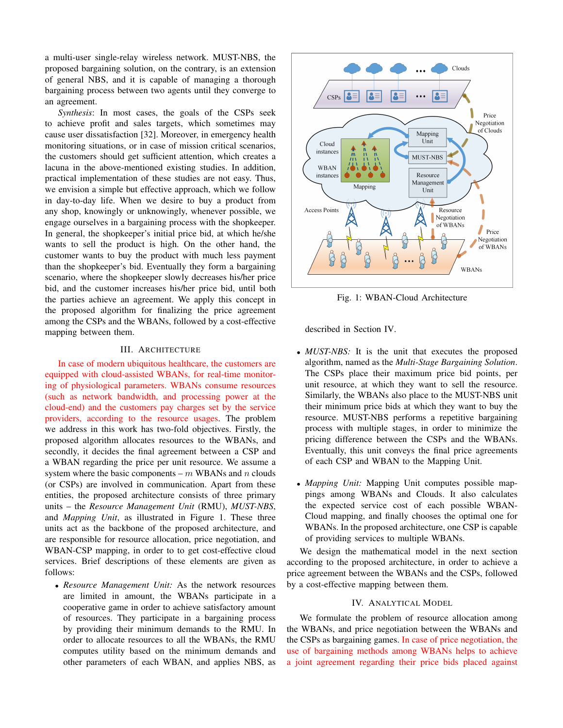a multi-user single-relay wireless network. MUST-NBS, the proposed bargaining solution, on the contrary, is an extension of general NBS, and it is capable of managing a thorough bargaining process between two agents until they converge to an agreement.

*Synthesis*: In most cases, the goals of the CSPs seek to achieve profit and sales targets, which sometimes may cause user dissatisfaction [32]. Moreover, in emergency health monitoring situations, or in case of mission critical scenarios, the customers should get sufficient attention, which creates a lacuna in the above-mentioned existing studies. In addition, practical implementation of these studies are not easy. Thus, we envision a simple but effective approach, which we follow in day-to-day life. When we desire to buy a product from any shop, knowingly or unknowingly, whenever possible, we engage ourselves in a bargaining process with the shopkeeper. In general, the shopkeeper's initial price bid, at which he/she wants to sell the product is high. On the other hand, the customer wants to buy the product with much less payment than the shopkeeper's bid. Eventually they form a bargaining scenario, where the shopkeeper slowly decreases his/her price bid, and the customer increases his/her price bid, until both the parties achieve an agreement. We apply this concept in the proposed algorithm for finalizing the price agreement among the CSPs and the WBANs, followed by a cost-effective mapping between them.

# III. ARCHITECTURE

In case of modern ubiquitous healthcare, the customers are equipped with cloud-assisted WBANs, for real-time monitoring of physiological parameters. WBANs consume resources (such as network bandwidth, and processing power at the cloud-end) and the customers pay charges set by the service providers, according to the resource usages. The problem we address in this work has two-fold objectives. Firstly, the proposed algorithm allocates resources to the WBANs, and secondly, it decides the final agreement between a CSP and a WBAN regarding the price per unit resource. We assume a system where the basic components –  $m$  WBANs and  $n$  clouds (or CSPs) are involved in communication. Apart from these entities, the proposed architecture consists of three primary units – the *Resource Management Unit* (RMU), *MUST-NBS*, and *Mapping Unit*, as illustrated in Figure 1. These three units act as the backbone of the proposed architecture, and are responsible for resource allocation, price negotiation, and WBAN-CSP mapping, in order to to get cost-effective cloud services. Brief descriptions of these elements are given as follows:

• *Resource Management Unit:* As the network resources are limited in amount, the WBANs participate in a cooperative game in order to achieve satisfactory amount of resources. They participate in a bargaining process by providing their minimum demands to the RMU. In order to allocate resources to all the WBANs, the RMU computes utility based on the minimum demands and other parameters of each WBAN, and applies NBS, as



Fig. 1: WBAN-Cloud Architecture

described in Section IV.

- *MUST-NBS*: It is the unit that executes the proposed algorithm, named as the *Multi-Stage Bargaining Solution*. The CSPs place their maximum price bid points, per unit resource, at which they want to sell the resource. Similarly, the WBANs also place to the MUST-NBS unit their minimum price bids at which they want to buy the resource. MUST-NBS performs a repetitive bargaining process with multiple stages, in order to minimize the pricing difference between the CSPs and the WBANs. Eventually, this unit conveys the final price agreements of each CSP and WBAN to the Mapping Unit.
- *Mapping Unit:* Mapping Unit computes possible mappings among WBANs and Clouds. It also calculates the expected service cost of each possible WBAN-Cloud mapping, and finally chooses the optimal one for WBANs. In the proposed architecture, one CSP is capable of providing services to multiple WBANs.

We design the mathematical model in the next section according to the proposed architecture, in order to achieve a price agreement between the WBANs and the CSPs, followed by a cost-effective mapping between them.

# IV. ANALYTICAL MODEL

We formulate the problem of resource allocation among the WBANs, and price negotiation between the WBANs and the CSPs as bargaining games. In case of price negotiation, the use of bargaining methods among WBANs helps to achieve a joint agreement regarding their price bids placed against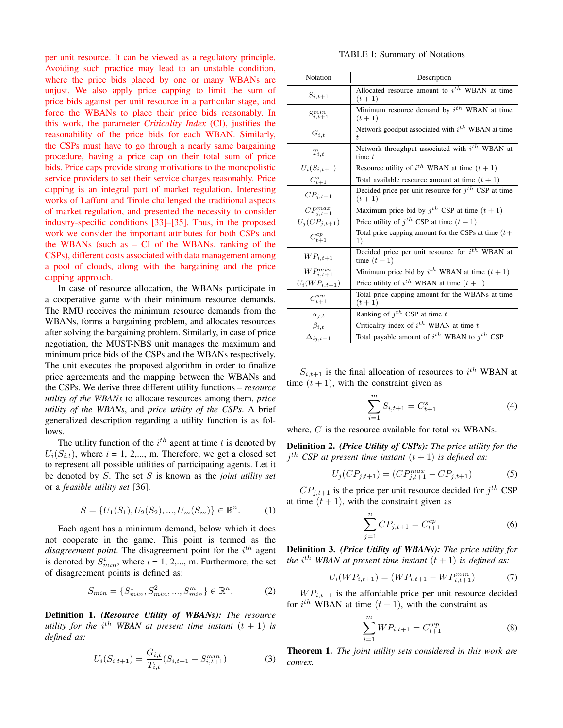per unit resource. It can be viewed as a regulatory principle. Avoiding such practice may lead to an unstable condition, where the price bids placed by one or many WBANs are unjust. We also apply price capping to limit the sum of price bids against per unit resource in a particular stage, and force the WBANs to place their price bids reasonably. In this work, the parameter *Criticality Index* (CI), justifies the reasonability of the price bids for each WBAN. Similarly, the CSPs must have to go through a nearly same bargaining procedure, having a price cap on their total sum of price bids. Price caps provide strong motivations to the monopolistic service providers to set their service charges reasonably. Price capping is an integral part of market regulation. Interesting works of Laffont and Tirole challenged the traditional aspects of market regulation, and presented the necessity to consider industry-specific conditions [33]–[35]. Thus, in the proposed work we consider the important attributes for both CSPs and the WBANs (such as – CI of the WBANs, ranking of the CSPs), different costs associated with data management among a pool of clouds, along with the bargaining and the price capping approach.

In case of resource allocation, the WBANs participate in a cooperative game with their minimum resource demands. The RMU receives the minimum resource demands from the WBANs, forms a bargaining problem, and allocates resources after solving the bargaining problem. Similarly, in case of price negotiation, the MUST-NBS unit manages the maximum and minimum price bids of the CSPs and the WBANs respectively. The unit executes the proposed algorithm in order to finalize price agreements and the mapping between the WBANs and the CSPs. We derive three different utility functions – *resource utility of the WBANs* to allocate resources among them, *price utility of the WBANs*, and *price utility of the CSPs*. A brief generalized description regarding a utility function is as follows.

The utility function of the  $i^{th}$  agent at time t is denoted by  $U_i(S_{i,t})$ , where  $i = 1, 2,..., m$ . Therefore, we get a closed set to represent all possible utilities of participating agents. Let it be denoted by S. The set S is known as the *joint utility set* or a *feasible utility set* [36].

$$
S = \{U_1(S_1), U_2(S_2), \dots, U_m(S_m)\} \in \mathbb{R}^n. \tag{1}
$$

Each agent has a minimum demand, below which it does not cooperate in the game. This point is termed as the  $disagreement$  point. The disagreement point for the  $i^{th}$  agent is denoted by  $S_{min}^i$ , where  $i = 1, 2,..., m$ . Furthermore, the set of disagreement points is defined as:

$$
S_{min} = \{S_{min}^1, S_{min}^2, ..., S_{min}^m\} \in \mathbb{R}^n.
$$
 (2)

Definition 1. *(Resource Utility of WBANs): The resource utility for the*  $i^{th}$  *WBAN at present time instant*  $(t + 1)$  *is defined as:*

$$
U_i(S_{i,t+1}) = \frac{G_{i,t}}{T_{i,t}}(S_{i,t+1} - S_{i,t+1}^{min})
$$
 (3)

#### TABLE I: Summary of Notations

| Notation           | Description                                                             |  |  |  |
|--------------------|-------------------------------------------------------------------------|--|--|--|
| $S_{i,t+1}$        | Allocated resource amount to $i^{th}$ WBAN at time<br>$(t + 1)$         |  |  |  |
| $S_{i,t+1}^{min}$  | Minimum resource demand by $i^{th}$ WBAN at time<br>$(t + 1)$           |  |  |  |
| $G_{i,t}$          | Network goodput associated with $i^{th}$ WBAN at time<br>$\overline{t}$ |  |  |  |
| $T_{i,t}$          | Network throughput associated with $i^{th}$ WBAN at<br>time $t$         |  |  |  |
| $U_i(S_{i,t+1})$   | Resource utility of $i^{th}$ WBAN at time $(t + 1)$                     |  |  |  |
| $C_{t+1}^s$        | Total available resource amount at time $(t + 1)$                       |  |  |  |
| $CP_{j,t+1}$       | Decided price per unit resource for $jth$ CSP at time<br>$(t + 1)$      |  |  |  |
| $CP^{max}_{j,t+1}$ | Maximum price bid by $j^{th}$ CSP at time $(t + 1)$                     |  |  |  |
| $U_j(CP_{j,t+1})$  | Price utility of $j^{th}$ CSP at time $(t + 1)$                         |  |  |  |
| $C_{t+1}^{cp}$     | Total price capping amount for the CSPs at time $(t+$<br>1)             |  |  |  |
| $WP_{i,t+1}$       | Decided price per unit resource for $i^{th}$ WBAN at<br>time $(t+1)$    |  |  |  |
| $WP^{min}_{i,t+1}$ | Minimum price bid by $i^{th}$ WBAN at time $(t + 1)$                    |  |  |  |
| $U_i(WP_{i,t+1})$  | Price utility of $i^{th}$ WBAN at time $(t + 1)$                        |  |  |  |
| $C_{t+1}^{wp}$     | Total price capping amount for the WBANs at time<br>$(t + 1)$           |  |  |  |
| $\alpha_{j,t}$     | Ranking of $j^{th}$ CSP at time t                                       |  |  |  |
| $\beta_{i,t}$      | Criticality index of $i^{th}$ WBAN at time $t$                          |  |  |  |
| $\Delta_{ij,t+1}$  | Total payable amount of $i^{th}$ WBAN to $j^{th}$ CSP                   |  |  |  |

 $S_{i,t+1}$  is the final allocation of resources to  $i^{th}$  WBAN at time  $(t + 1)$ , with the constraint given as

$$
\sum_{i=1}^{m} S_{i,t+1} = C_{t+1}^{s} \tag{4}
$$

where,  $C$  is the resource available for total  $m$  WBANs.

Definition 2. *(Price Utility of CSPs): The price utility for the*  $j<sup>th</sup>$  *CSP* at present time instant  $(t + 1)$  is defined as:

$$
U_j(CP_{j,t+1}) = (CP_{j,t+1}^{max} - CP_{j,t+1})
$$
\n(5)

 $CP_{j,t+1}$  is the price per unit resource decided for  $j^{th}$  CSP at time  $(t + 1)$ , with the constraint given as

$$
\sum_{j=1}^{n} CP_{j,t+1} = C_{t+1}^{cp} \tag{6}
$$

Definition 3. *(Price Utility of WBANs): The price utility for the*  $i^{th}$  WBAN at present time instant  $(t + 1)$  is defined as:

$$
U_i(WP_{i,t+1}) = (WP_{i,t+1} - WP_{i,t+1}^{min})
$$
\n(7)

 $WP_{i,t+1}$  is the affordable price per unit resource decided for  $i^{th}$  WBAN at time  $(t + 1)$ , with the constraint as

$$
\sum_{i=1}^{m} W P_{i,t+1} = C_{t+1}^{wp} \tag{8}
$$

Theorem 1. *The joint utility sets considered in this work are convex.*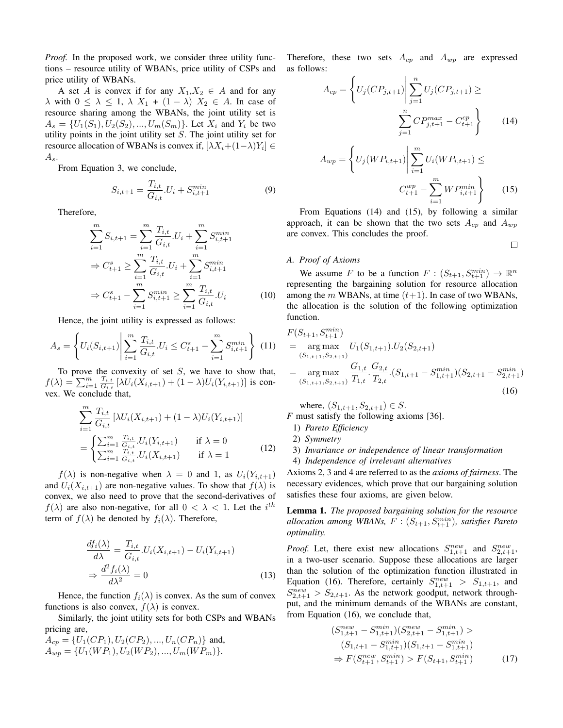*Proof.* In the proposed work, we consider three utility functions – resource utility of WBANs, price utility of CSPs and price utility of WBANs.

A set A is convex if for any  $X_1, X_2 \in A$  and for any  $\lambda$  with  $0 \leq \lambda \leq 1$ ,  $\lambda$   $X_1 + (1 - \lambda) X_2 \in A$ . In case of resource sharing among the WBANs, the joint utility set is  $A_s = \{U_1(S_1), U_2(S_2), ..., U_m(S_m)\}\.$  Let  $X_i$  and  $Y_i$  be two utility points in the joint utility set  $S$ . The joint utility set for resource allocation of WBANs is convex if,  $[\lambda X_i + (1-\lambda)Y_i] \in$  $A_s$ .

From Equation 3, we conclude,

$$
S_{i,t+1} = \frac{T_{i,t}}{G_{i,t}} \cdot U_i + S_{i,t+1}^{min} \tag{9}
$$

Therefore,

$$
\sum_{i=1}^{m} S_{i,t+1} = \sum_{i=1}^{m} \frac{T_{i,t}}{G_{i,t}} \cdot U_i + \sum_{i=1}^{m} S_{i,t+1}^{min}
$$
\n
$$
\Rightarrow C_{t+1}^s \ge \sum_{i=1}^{m} \frac{T_{i,t}}{G_{i,t}} \cdot U_i + \sum_{i=1}^{m} S_{i,t+1}^{min}
$$
\n
$$
\Rightarrow C_{t+1}^s - \sum_{i=1}^{m} S_{i,t+1}^{min} \ge \sum_{i=1}^{m} \frac{T_{i,t}}{G_{i,t}} \cdot U_i \tag{10}
$$

Hence, the joint utility is expressed as follows:

$$
A_s = \left\{ U_i(S_{i,t+1}) \middle| \sum_{i=1}^{m} \frac{T_{i,t}}{G_{i,t}} \cdot U_i \le C_{t+1}^s - \sum_{i=1}^{m} S_{i,t+1}^{min} \right\} \tag{11}
$$

To prove the convexity of set  $S$ , we have to show that,  $f(\lambda) = \sum_{i=1}^m \frac{T_{i,t}}{G_{i,t}}$  $\frac{I_{i,t}}{G_{i,t}}\left[\lambda U_i(X_{i,t+1}) + (1-\lambda)U_i(Y_{i,t+1})\right]$  is convex. We conclude that,

$$
\sum_{i=1}^{m} \frac{T_{i,t}}{G_{i,t}} \left[ \lambda U_i(X_{i,t+1}) + (1 - \lambda) U_i(Y_{i,t+1}) \right]
$$
  
= 
$$
\begin{cases} \sum_{i=1}^{m} \frac{T_{i,t}}{G_{i,t}} . U_i(Y_{i,t+1}) & \text{if } \lambda = 0 \\ \sum_{i=1}^{m} \frac{T_{i,t}}{G_{i,t}} . U_i(X_{i,t+1}) & \text{if } \lambda = 1 \end{cases}
$$
(12)

 $f(\lambda)$  is non-negative when  $\lambda = 0$  and 1, as  $U_i(Y_{i,t+1})$ and  $U_i(X_{i,t+1})$  are non-negative values. To show that  $f(\lambda)$  is convex, we also need to prove that the second-derivatives of  $f(\lambda)$  are also non-negative, for all  $0 < \lambda < 1$ . Let the  $i^{th}$ term of  $f(\lambda)$  be denoted by  $f_i(\lambda)$ . Therefore,

$$
\frac{df_i(\lambda)}{d\lambda} = \frac{T_{i,t}}{G_{i,t}} \cdot U_i(X_{i,t+1}) - U_i(Y_{i,t+1})
$$
  

$$
\Rightarrow \frac{d^2 f_i(\lambda)}{d\lambda^2} = 0
$$
\n(13)

Hence, the function  $f_i(\lambda)$  is convex. As the sum of convex functions is also convex,  $f(\lambda)$  is convex.

Similarly, the joint utility sets for both CSPs and WBANs pricing are,

 $A_{cp} = \{U_1(CP_1), U_2(CP_2), ..., U_n(CP_n)\}\$ and,  $A_{wp} = \{U_1(WP_1), U_2(WP_2), ..., U_m(WP_m)\}.$ 

Therefore, these two sets  $A_{cp}$  and  $A_{wp}$  are expressed as follows:

$$
A_{cp} = \left\{ U_j(CP_{j,t+1}) \middle| \sum_{j=1}^n U_j(CP_{j,t+1}) \ge \sum_{j=1}^n CP_{j,t+1}^{max} - C_{t+1}^{cp} \right\}
$$
 (14)

$$
A_{wp} = \left\{ U_j(WP_{i,t+1}) \middle| \sum_{i=1}^{m} U_i(WP_{i,t+1}) \le
$$

$$
C_{t+1}^{wp} - \sum_{i=1}^{m} WP_{i,t+1}^{min} \right\}
$$
(15)

 $\Box$ 

From Equations (14) and (15), by following a similar approach, it can be shown that the two sets  $A_{cp}$  and  $A_{wp}$ are convex. This concludes the proof.

#### *A. Proof of Axioms*

We assume F to be a function  $F: (S_{t+1}, S_{t+1}^{min}) \to \mathbb{R}^n$ representing the bargaining solution for resource allocation among the m WBANs, at time  $(t+1)$ . In case of two WBANs, the allocation is the solution of the following optimization function.

$$
F(S_{t+1}, S_{t+1}^{min})
$$
  
= arg max  $U_1(S_{1,t+1}) \cdot U_2(S_{2,t+1})$   
= arg max  $\frac{G_{1,t}}{S_{1,t+1}, S_{2,t+1}}$   
= arg max  $\frac{G_{1,t}}{T_{1,t}} \cdot \frac{G_{2,t}}{T_{2,t}} \cdot (S_{1,t+1} - S_{1,t+1}^{min})(S_{2,t+1} - S_{2,t+1}^{min})$   
(16)

where,  $(S_{1,t+1}, S_{2,t+1}) \in S$ .

*F* must satisfy the following axioms [36].

- 1) *Pareto Efficiency*
- 2) *Symmetry*
- 3) *Invariance or independence of linear transformation*
- 4) *Independence of irrelevant alternatives*

Axioms 2, 3 and 4 are referred to as the *axioms of fairness*. The necessary evidences, which prove that our bargaining solution satisfies these four axioms, are given below.

Lemma 1. *The proposed bargaining solution for the resource*  $a$ llocation among WBANs,  $F : (S_{t+1}, S_{t+1}^{min})$ , satisfies Pareto *optimality.*

*Proof.* Let, there exist new allocations  $S_{1,t+1}^{new}$  and  $S_{2,t+1}^{new}$ , in a two-user scenario. Suppose these allocations are larger than the solution of the optimization function illustrated in Equation (16). Therefore, certainly  $S_{1,t+1}^{new} > S_{1,t+1}$ , and  $S_{2,t+1}^{new} > S_{2,t+1}$ . As the network goodput, network throughput, and the minimum demands of the WBANs are constant, from Equation (16), we conclude that,

$$
(S_{1,t+1}^{new} - S_{1,t+1}^{min})(S_{2,t+1}^{new} - S_{1,t+1}^{min}) >
$$
  
\n
$$
(S_{1,t+1} - S_{1,t+1}^{min})(S_{1,t+1} - S_{1,t+1}^{min})
$$
  
\n
$$
\Rightarrow F(S_{t+1}^{new}, S_{t+1}^{min}) > F(S_{t+1}, S_{t+1}^{min})
$$
 (17)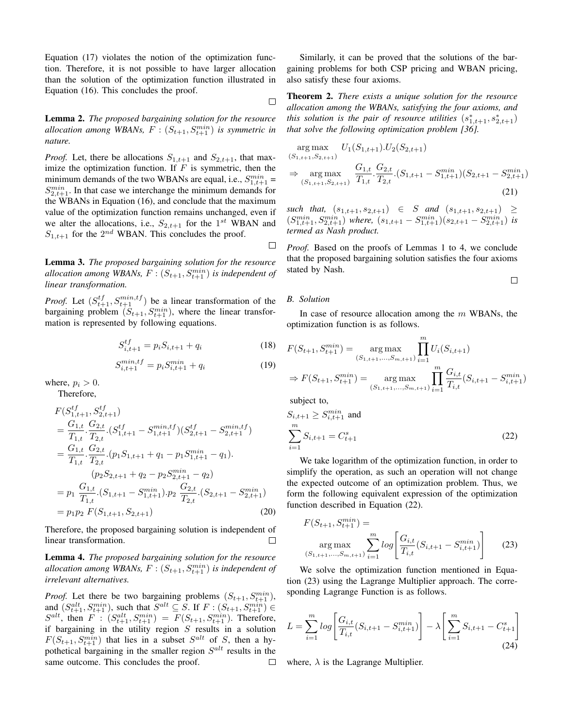Equation (17) violates the notion of the optimization function. Therefore, it is not possible to have larger allocation than the solution of the optimization function illustrated in Equation (16). This concludes the proof.

Lemma 2. *The proposed bargaining solution for the resource*  $\alpha$ *allocation among WBANs,*  $F : (S_{t+1}, S_{t+1}^{min})$  *is symmetric in nature.*

*Proof.* Let, there be allocations  $S_{1,t+1}$  and  $S_{2,t+1}$ , that maximize the optimization function. If  $F$  is symmetric, then the minimum demands of the two WBANs are equal, i.e.,  $S_{1,t+1}^{min}$  =  $S_{2,t+1}^{min}$ . In that case we interchange the minimum demands for the WBANs in Equation (16), and conclude that the maximum value of the optimization function remains unchanged, even if we alter the allocations, i.e.,  $S_{2,t+1}$  for the 1<sup>st</sup> WBAN and  $S_{1,t+1}$  for the  $2^{nd}$  WBAN. This concludes the proof.

Lemma 3. *The proposed bargaining solution for the resource*  $a$ llocation among WBANs,  $F : (S_{t+1}, S_{t+1}^{min})$  *is independent of linear transformation.*

*Proof.* Let  $(S_{t+1}^{tf}, S_{t+1}^{min, tf})$  be a linear transformation of the bargaining problem  $(S_{t+1}, S_{t+1}^{min})$ , where the linear transformation is represented by following equations.

$$
S_{i,t+1}^{tf} = p_i S_{i,t+1} + q_i \tag{18}
$$

$$
S_{i,t+1}^{min,tf} = p_i S_{i,t+1}^{min} + q_i
$$
 (19)

where,  $p_i > 0$ .

Therefore,

$$
F(S_{1,t+1}^{tf}, S_{2,t+1}^{tf})
$$
  
=  $\frac{G_{1,t}}{T_{1,t}} \cdot \frac{G_{2,t}}{T_{2,t}} \cdot (S_{1,t+1}^{tf} - S_{1,t+1}^{min,tf}) (S_{2,t+1}^{tf} - S_{2,t+1}^{min,tf})$   
=  $\frac{G_{1,t}}{T_{1,t}} \cdot \frac{G_{2,t}}{T_{2,t}} \cdot (p_1 S_{1,t+1} + q_1 - p_1 S_{1,t+1}^{min} - q_1).$   
 $(p_2 S_{2,t+1} + q_2 - p_2 S_{2,t+1}^{min} - q_2)$   
=  $p_1 \frac{G_{1,t}}{T_{1,t}} \cdot (S_{1,t+1} - S_{1,t+1}^{min}) \cdot p_2 \frac{G_{2,t}}{T_{2,t}} \cdot (S_{2,t+1} - S_{2,t+1}^{min})$   
=  $p_1 p_2 F(S_{1,t+1}, S_{2,t+1})$  (20)

Therefore, the proposed bargaining solution is independent of linear transformation.  $\Box$ 

Lemma 4. *The proposed bargaining solution for the resource*  $a$ llocation among WBANs,  $F : (S_{t+1}, S_{t+1}^{min})$  is independent of *irrelevant alternatives.*

*Proof.* Let there be two bargaining problems  $(S_{t+1}, S_{t+1}^{min})$ , and  $(S_{t+1}^{alt}, S_{t+1}^{min})$ , such that  $S^{alt} \subseteq S$ . If  $F : (S_{t+1}, S_{t+1}^{min}) \in$  $S^{alt}$ , then  $F: (S_{t+1}^{alt}, S_{t+1}^{min}) = F(S_{t+1}, S_{t+1}^{min})$ . Therefore, if bargaining in the utility region  $S$  results in a solution  $F(S_{t+1}, S_{t+1}^{min})$  that lies in a subset  $S^{alt}$  of S, then a hypothetical bargaining in the smaller region  $S^{alt}$  results in the same outcome. This concludes the proof. П

Similarly, it can be proved that the solutions of the bargaining problems for both CSP pricing and WBAN pricing, also satisfy these four axioms.

Theorem 2. *There exists a unique solution for the resource allocation among the WBANs, satisfying the four axioms, and this solution is the pair of resource utilities*  $(s_{1,t+1}^*, s_{2,t+1}^*)$ *that solve the following optimization problem [36].*

$$
\arg \max_{(S_{1,t+1}, S_{2,t+1})} U_1(S_{1,t+1}) \cdot U_2(S_{2,t+1})
$$
\n
$$
\Rightarrow \arg \max_{(S_{1,t+1}, S_{2,t+1})} \frac{G_{1,t}}{T_{1,t}} \cdot \frac{G_{2,t}}{T_{2,t}} \cdot (S_{1,t+1} - S_{1,t+1}^{min})(S_{2,t+1} - S_{2,t+1}^{min})
$$
\n(21)

 $such that, (s_{1,t+1}, s_{2,t+1}) \in S \text{ and } (s_{1,t+1}, s_{2,t+1}) \geq$  $(S_{1,t+1}^{min}, S_{2,t+1}^{min})$  where,  $(s_{1,t+1} - S_{1,t+1}^{min})(s_{2,t+1} - S_{2,t+1}^{min})$  is *termed as Nash product.*

*Proof.* Based on the proofs of Lemmas 1 to 4, we conclude that the proposed bargaining solution satisfies the four axioms stated by Nash.

$$
\qquad \qquad \Box
$$

#### *B. Solution*

 $\Box$ 

 $\Box$ 

In case of resource allocation among the  $m$  WBANs, the optimization function is as follows.

$$
F(S_{t+1}, S_{t+1}^{min}) = \underset{(S_{1,t+1}, \ldots, S_{m,t+1})}{\arg \max} \prod_{i=1}^{m} U_i(S_{i,t+1})
$$
  
\n
$$
\Rightarrow F(S_{t+1}, S_{t+1}^{min}) = \underset{(S_{1,t+1}, \ldots, S_{m,t+1})}{\arg \max} \prod_{i=1}^{m} \frac{G_{i,t}}{T_{i,t}} (S_{i,t+1} - S_{i,t+1}^{min})
$$

subject to,

$$
S_{i,t+1} \ge S_{i,t+1}^{min} \text{ and}
$$
  

$$
\sum_{i=1}^{m} S_{i,t+1} = C_{t+1}^{s}
$$
 (22)

We take logarithm of the optimization function, in order to simplify the operation, as such an operation will not change the expected outcome of an optimization problem. Thus, we form the following equivalent expression of the optimization function described in Equation (22).

$$
F(S_{t+1}, S_{t+1}^{min}) = \n\arg\max_{(S_{1,t+1}, \ldots, S_{m,t+1})} \sum_{i=1}^{m} \log \left[ \frac{G_{i,t}}{T_{i,t}} (S_{i,t+1} - S_{i,t+1}^{min}) \right] \n\tag{23}
$$

We solve the optimization function mentioned in Equation (23) using the Lagrange Multiplier approach. The corresponding Lagrange Function is as follows.

$$
L = \sum_{i=1}^{m} \log \left[ \frac{G_{i,t}}{T_{i,t}} (S_{i,t+1} - S_{i,t+1}^{min}) \right] - \lambda \left[ \sum_{i=1}^{m} S_{i,t+1} - C_{t+1}^{s} \right]
$$
\n(24)

where,  $\lambda$  is the Lagrange Multiplier.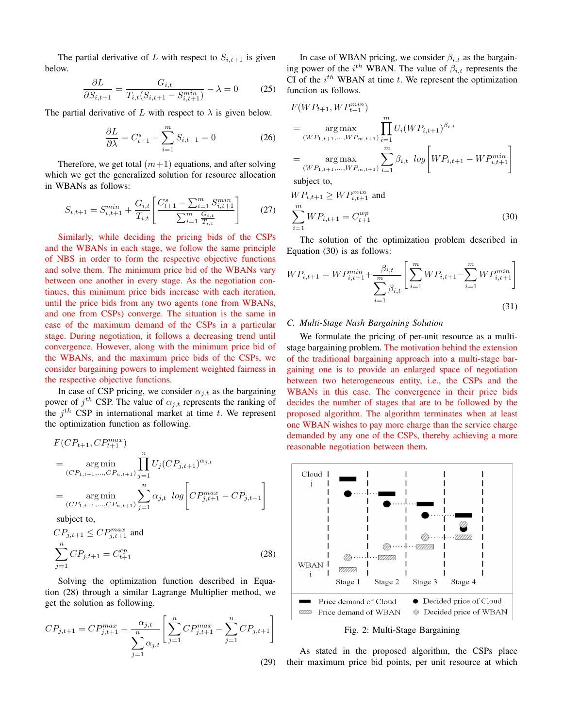The partial derivative of L with respect to  $S_{i,t+1}$  is given below.

$$
\frac{\partial L}{\partial S_{i,t+1}} = \frac{G_{i,t}}{T_{i,t}(S_{i,t+1} - S_{i,t+1}^{min})} - \lambda = 0 \tag{25}
$$

The partial derivative of L with respect to  $\lambda$  is given below.

$$
\frac{\partial L}{\partial \lambda} = C_{t+1}^s - \sum_{i=1}^m S_{i,t+1} = 0
$$
 (26)

Therefore, we get total  $(m+1)$  equations, and after solving which we get the generalized solution for resource allocation in WBANs as follows:

$$
S_{i,t+1} = S_{i,t+1}^{min} + \frac{G_{i,t}}{T_{i,t}} \left[ \frac{C_{t+1}^s - \sum_{i=1}^m S_{i,t+1}^{min}}{\sum_{i=1}^m \frac{G_{i,t}}{T_{i,t}}} \right]
$$
(27)

Similarly, while deciding the pricing bids of the CSPs and the WBANs in each stage, we follow the same principle of NBS in order to form the respective objective functions and solve them. The minimum price bid of the WBANs vary between one another in every stage. As the negotiation continues, this minimum price bids increase with each iteration, until the price bids from any two agents (one from WBANs, and one from CSPs) converge. The situation is the same in case of the maximum demand of the CSPs in a particular stage. During negotiation, it follows a decreasing trend until convergence. However, along with the minimum price bid of the WBANs, and the maximum price bids of the CSPs, we consider bargaining powers to implement weighted fairness in the respective objective functions.

In case of CSP pricing, we consider  $\alpha_{j,t}$  as the bargaining power of  $j^{th}$  CSP. The value of  $\alpha_{j,t}$  represents the ranking of the  $j<sup>th</sup>$  CSP in international market at time t. We represent the optimization function as following.

$$
F(CP_{t+1}, CP_{t+1}^{max})
$$
  
= arg min  

$$
(CP_{1,t+1}, \ldots, CP_{n,t+1}) \prod_{j=1}^{n} U_j(CP_{j,t+1})^{\alpha_{j,t}}
$$
  
= arg min  

$$
(CP_{1,t+1}, \ldots, CP_{n,t+1}) \prod_{j=1}^{n} \alpha_{j,t} \log \left[ CP_{j,t+1}^{max} - CP_{j,t+1} \right]
$$
  
subject to

subject to,

$$
CP_{j,t+1} \le CP_{j,t+1}^{max} \text{ and}
$$
  

$$
\sum_{j=1}^{n} CP_{j,t+1} = C_{t+1}^{cp}
$$
 (28)

Solving the optimization function described in Equation (28) through a similar Lagrange Multiplier method, we get the solution as following.

$$
CP_{j,t+1} = CP_{j,t+1}^{max} - \frac{\alpha_{j,t}}{\sum_{j=1}^{n} \alpha_{j,t}} \left[ \sum_{j=1}^{n} CP_{j,t+1}^{max} - \sum_{j=1}^{n} CP_{j,t+1} \right]
$$
\n(29)

In case of WBAN pricing, we consider  $\beta_{i,t}$  as the bargaining power of the  $i^{th}$  WBAN. The value of  $\beta_{i,t}$  represents the CI of the  $i^{th}$  WBAN at time  $t$ . We represent the optimization function as follows.

$$
F(WP_{t+1}, WP_{t+1}^{min})
$$
  
= 
$$
\operatorname*{arg\,max}_{(WP_{1,t+1},...,WP_{m,t+1})} \prod_{i=1}^{m} U_i(WP_{i,t+1})^{\beta_{i,t}}
$$
  
= 
$$
\operatorname*{arg\,max}_{(WP_{1,t+1},...,WP_{m,t+1})} \sum_{i=1}^{m} \beta_{i,t} \log \left[ WP_{i,t+1} - WP_{i,t+1}^{min} \right]
$$

subject to,

$$
WP_{i,t+1} \ge WP_{i,t+1}^{min}
$$
 and

$$
\sum_{i=1}^{m} W P_{i,t+1} = C_{t+1}^{wp} \tag{30}
$$

The solution of the optimization problem described in Equation (30) is as follows:

$$
WP_{i,t+1} = WP_{i,t+1}^{min} + \frac{\beta_{i,t}}{\sum_{i=1}^{m} \beta_{i,t}} \left[ \sum_{i=1}^{m} WP_{i,t+1} - \sum_{i=1}^{m} WP_{i,t+1}^{min} \right]
$$
\n(31)

#### *C. Multi-Stage Nash Bargaining Solution*

We formulate the pricing of per-unit resource as a multistage bargaining problem. The motivation behind the extension of the traditional bargaining approach into a multi-stage bargaining one is to provide an enlarged space of negotiation between two heterogeneous entity, i.e., the CSPs and the WBANs in this case. The convergence in their price bids decides the number of stages that are to be followed by the proposed algorithm. The algorithm terminates when at least one WBAN wishes to pay more charge than the service charge demanded by any one of the CSPs, thereby achieving a more reasonable negotiation between them.



Fig. 2: Multi-Stage Bargaining

As stated in the proposed algorithm, the CSPs place their maximum price bid points, per unit resource at which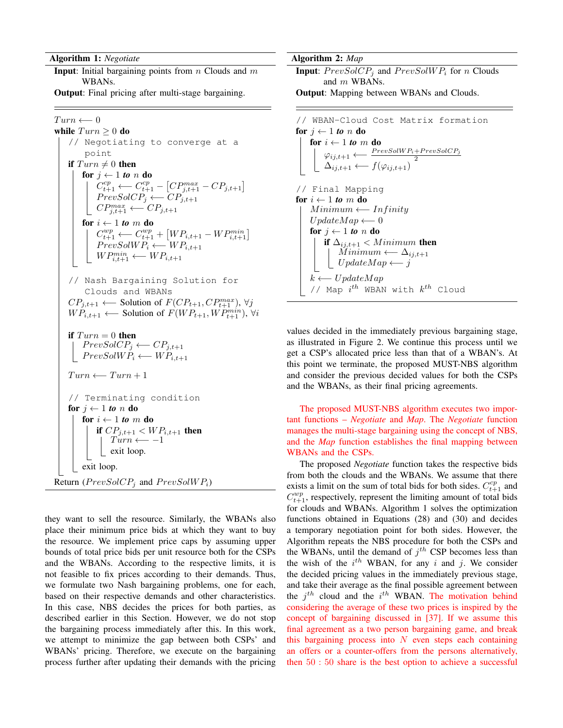Algorithm 1: *Negotiate*

**Input:** Initial bargaining points from  $n$  Clouds and  $m$ WBANs.

Output: Final pricing after multi-stage bargaining.

 $Turn \longleftarrow 0$ while  $Turn \geq 0$  do // Negotiating to converge at a point if  $Turn \neq 0$  then for  $j \leftarrow 1$  *to n* **do**  $C_{t+1}^{cp} \longleftarrow C_{t+1}^{cp} - [CP_{j,t+1}^{max} - CP_{j,t+1}]$  $PrevSolCP_j \longleftarrow CP_{j,t+1}$  $CP^{max}_{j,t+1} \longleftarrow CP_{j,t+1}$ for  $i \leftarrow 1$  *to*  $m$  **do**  $C_{t+1}^{wp} \longleftarrow C_{t+1}^{wp} + [WP_{i,t+1} - WP_{i,t+1}^{min}]$  $PrevSolWP_i \longleftarrow WP_{i,t+1}$  $WP^{min}_{i,t+1} \longleftarrow WP_{i,t+1}$ // Nash Bargaining Solution for Clouds and WBANs  $CP_{j,t+1} \longleftarrow$  Solution of  $F(CP_{t+1}, CP_{t+1}^{max})$ ,  $\forall j$  $WF_{i,t+1} \longleftarrow$  Solution of  $F(WP_{t+1}, WP_{t+1}^{min})$ ,  $\forall i$ if  $Turn = 0$  then  $PrevSolCP_j \longleftarrow CP_{j,t+1}$  $PrevSolWP_i \longleftarrow WP_{i,t+1}$  $Turn \longleftarrow Turn + 1$ // Terminating condition for  $j \leftarrow 1$  *to n* **do** for  $i \leftarrow 1$  to m do if  $CP_{j,t+1} < WP_{i,t+1}$  then  $Turn \longleftarrow -1$ exit loop. exit loop. Return ( $PrevSolCP_i$  and  $PrevSolWP_i$ )

they want to sell the resource. Similarly, the WBANs also place their minimum price bids at which they want to buy the resource. We implement price caps by assuming upper bounds of total price bids per unit resource both for the CSPs and the WBANs. According to the respective limits, it is not feasible to fix prices according to their demands. Thus, we formulate two Nash bargaining problems, one for each, based on their respective demands and other characteristics. In this case, NBS decides the prices for both parties, as described earlier in this Section. However, we do not stop the bargaining process immediately after this. In this work, we attempt to minimize the gap between both CSPs' and WBANs' pricing. Therefore, we execute on the bargaining process further after updating their demands with the pricing Algorithm 2: *Map*

**Input:**  $PrevSolCP_j$  and  $PrevSolWP_i$  for n Clouds and m WBANs.

Output: Mapping between WBANs and Clouds.

```
// WBAN-Cloud Cost Matrix formation
for j \leftarrow 1 to n do
     for i \leftarrow 1 to m do
          \varphi_{ij,t+1} \longleftarrow \frac{PrevSolWP_i+PrevSolCP_j}{2} \ \Delta_{ij,t+1} \longleftarrow f(\varphi_{ij,t+1})// Final Mapping
for i \leftarrow 1 to m do
     Minimum \longleftarrow InfinityUpdateMap \longleftarrow 0for j \leftarrow 1 to n do
         if \Delta_{i,i,t+1} < Minimum then
               Minimum \longleftarrow \Delta_{ij,t+1}UpdateMap \longleftarrow jk \longleftarrow UpdateMap// Map i^{th} WBAN with k^{th} Cloud
```
values decided in the immediately previous bargaining stage, as illustrated in Figure 2. We continue this process until we get a CSP's allocated price less than that of a WBAN's. At this point we terminate, the proposed MUST-NBS algorithm and consider the previous decided values for both the CSPs and the WBANs, as their final pricing agreements.

The proposed MUST-NBS algorithm executes two important functions – *Negotiate* and *Map*. The *Negotiate* function manages the multi-stage bargaining using the concept of NBS, and the *Map* function establishes the final mapping between WBANs and the CSPs.

The proposed *Negotiate* function takes the respective bids from both the clouds and the WBANs. We assume that there exists a limit on the sum of total bids for both sides.  $C_{t+1}^{cp}$  and  $C_{t+1}^{wp}$ , respectively, represent the limiting amount of total bids for clouds and WBANs. Algorithm 1 solves the optimization functions obtained in Equations (28) and (30) and decides a temporary negotiation point for both sides. However, the Algorithm repeats the NBS procedure for both the CSPs and the WBANs, until the demand of  $j<sup>th</sup>$  CSP becomes less than the wish of the  $i^{th}$  WBAN, for any i and j. We consider the decided pricing values in the immediately previous stage, and take their average as the final possible agreement between the  $j^{th}$  cloud and the  $i^{th}$  WBAN. The motivation behind considering the average of these two prices is inspired by the concept of bargaining discussed in [37]. If we assume this final agreement as a two person bargaining game, and break this bargaining process into  $N$  even steps each containing an offers or a counter-offers from the persons alternatively, then 50 : 50 share is the best option to achieve a successful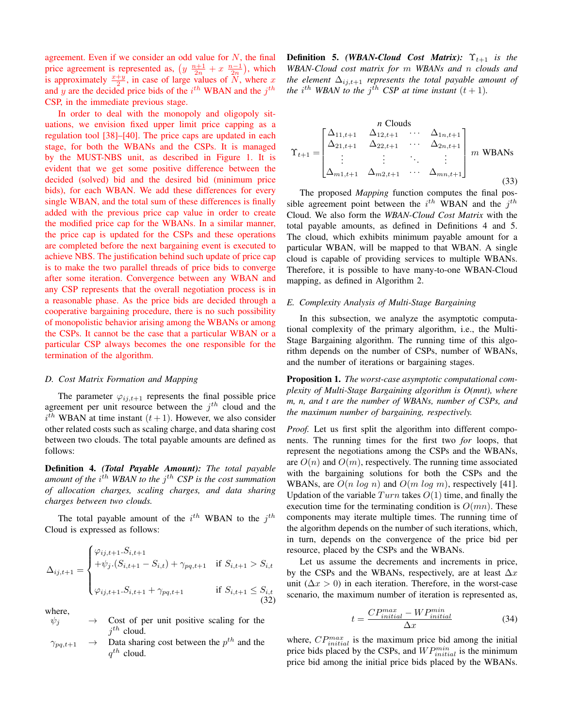agreement. Even if we consider an odd value for  $N$ , the final price agreement is represented as,  $\left(y \frac{n+1}{2n} + x \frac{n-1}{2n}\right)$ , which is approximately  $\frac{x+y}{2}$ , in case of large values of  $\overline{N}$ , where x and y are the decided price bids of the  $i^{th}$  WBAN and the  $j^{th}$ CSP, in the immediate previous stage.

In order to deal with the monopoly and oligopoly situations, we envision fixed upper limit price capping as a regulation tool [38]–[40]. The price caps are updated in each stage, for both the WBANs and the CSPs. It is managed by the MUST-NBS unit, as described in Figure 1. It is evident that we get some positive difference between the decided (solved) bid and the desired bid (minimum price bids), for each WBAN. We add these differences for every single WBAN, and the total sum of these differences is finally added with the previous price cap value in order to create the modified price cap for the WBANs. In a similar manner, the price cap is updated for the CSPs and these operations are completed before the next bargaining event is executed to achieve NBS. The justification behind such update of price cap is to make the two parallel threads of price bids to converge after some iteration. Convergence between any WBAN and any CSP represents that the overall negotiation process is in a reasonable phase. As the price bids are decided through a cooperative bargaining procedure, there is no such possibility of monopolistic behavior arising among the WBANs or among the CSPs. It cannot be the case that a particular WBAN or a particular CSP always becomes the one responsible for the termination of the algorithm.

#### *D. Cost Matrix Formation and Mapping*

The parameter  $\varphi_{ij,t+1}$  represents the final possible price agreement per unit resource between the  $j<sup>th</sup>$  cloud and the  $i<sup>th</sup>$  WBAN at time instant  $(t+1)$ . However, we also consider other related costs such as scaling charge, and data sharing cost between two clouds. The total payable amounts are defined as follows:

Definition 4. *(Total Payable Amount): The total payable* amount of the i<sup>th</sup> WBAN to the j<sup>th</sup> CSP is the cost summation *of allocation charges, scaling charges, and data sharing charges between two clouds.*

The total payable amount of the  $i^{th}$  WBAN to the  $j^{th}$ Cloud is expressed as follows:

$$
\Delta_{ij,t+1} = \begin{cases}\n\varphi_{ij,t+1}.S_{i,t+1} \\
+\psi_j.(S_{i,t+1} - S_{i,t}) + \gamma_{pq,t+1} & \text{if } S_{i,t+1} > S_{i,t} \\
\varphi_{ij,t+1}.S_{i,t+1} + \gamma_{pq,t+1} & \text{if } S_{i,t+1} \leq S_{i,t} \\
(32)\n\end{cases}
$$

where,

- $\psi_j \rightarrow$  Cost of per unit positive scaling for the  $j^{th}$  cloud.
- $\gamma_{pq,t+1} \rightarrow$  Data sharing cost between the  $p^{th}$  and the  $q^{th}$  cloud.

**Definition 5.** *(WBAN-Cloud Cost Matrix)***:**  $\Upsilon_{t+1}$  *is the WBAN-Cloud cost matrix for* m *WBANs and* n *clouds and the element*  $\Delta_{ij,t+1}$  *represents the total payable amount of the*  $i^{th}$  WBAN to the  $j^{th}$  CSP at time instant  $(t + 1)$ *.* 

$$
\Upsilon_{t+1} = \begin{bmatrix}\n\Delta_{11,t+1} & \Delta_{12,t+1} & \cdots & \Delta_{1n,t+1} \\
\Delta_{21,t+1} & \Delta_{22,t+1} & \cdots & \Delta_{2n,t+1} \\
\vdots & \vdots & \ddots & \vdots \\
\Delta_{m1,t+1} & \Delta_{m2,t+1} & \cdots & \Delta_{mn,t+1}\n\end{bmatrix} m \text{ WBANS}
$$
\n(33)

The proposed *Mapping* function computes the final possible agreement point between the  $i^{th}$  WBAN and the  $j^{th}$ Cloud. We also form the *WBAN-Cloud Cost Matrix* with the total payable amounts, as defined in Definitions 4 and 5. The cloud, which exhibits minimum payable amount for a particular WBAN, will be mapped to that WBAN. A single cloud is capable of providing services to multiple WBANs. Therefore, it is possible to have many-to-one WBAN-Cloud mapping, as defined in Algorithm 2.

#### *E. Complexity Analysis of Multi-Stage Bargaining*

In this subsection, we analyze the asymptotic computational complexity of the primary algorithm, i.e., the Multi-Stage Bargaining algorithm. The running time of this algorithm depends on the number of CSPs, number of WBANs, and the number of iterations or bargaining stages.

Proposition 1. *The worst-case asymptotic computational complexity of Multi-Stage Bargaining algorithm is O(mnt), where m, n, and t are the number of WBANs, number of CSPs, and the maximum number of bargaining, respectively.*

*Proof.* Let us first split the algorithm into different components. The running times for the first two *for* loops, that represent the negotiations among the CSPs and the WBANs, are  $O(n)$  and  $O(m)$ , respectively. The running time associated with the bargaining solutions for both the CSPs and the WBANs, are  $O(n \log n)$  and  $O(m \log m)$ , respectively [41]. Updation of the variable  $Turn$  takes  $O(1)$  time, and finally the execution time for the terminating condition is  $O(mn)$ . These components may iterate multiple times. The running time of the algorithm depends on the number of such iterations, which, in turn, depends on the convergence of the price bid per resource, placed by the CSPs and the WBANs.

Let us assume the decrements and increments in price, by the CSPs and the WBANs, respectively, are at least  $\Delta x$ unit ( $\Delta x > 0$ ) in each iteration. Therefore, in the worst-case scenario, the maximum number of iteration is represented as,

$$
t = \frac{CP_{initial}^{max} - WP_{initial}^{min}}{\Delta x}
$$
 (34)

where,  $CP^{max}_{initial}$  is the maximum price bid among the initial price bids placed by the CSPs, and  $WP^{min}_{initial}$  is the minimum price bid among the initial price bids placed by the WBANs.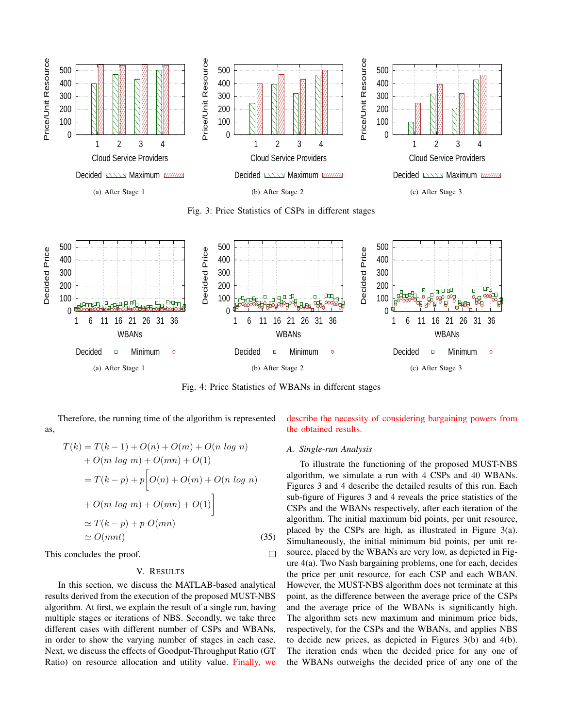

Fig. 3: Price Statistics of CSPs in different stages



Fig. 4: Price Statistics of WBANs in different stages

 $\Box$ 

Therefore, the running time of the algorithm is represented as,

$$
T(k) = T(k - 1) + O(n) + O(m) + O(n \log n)
$$
  
+  $O(m \log m) + O(mn) + O(1)$   
=  $T(k - p) + p \bigg[ O(n) + O(m) + O(n \log n)$   
+  $O(m \log m) + O(mn) + O(1) \bigg]$   
 $\simeq T(k - p) + p \ O(mn)$   
 $\simeq O(mnt)$  (35)

This concludes the proof.

# V. RESULTS

In this section, we discuss the MATLAB-based analytical results derived from the execution of the proposed MUST-NBS algorithm. At first, we explain the result of a single run, having multiple stages or iterations of NBS. Secondly, we take three different cases with different number of CSPs and WBANs, in order to show the varying number of stages in each case. Next, we discuss the effects of Goodput-Throughput Ratio (GT Ratio) on resource allocation and utility value. Finally, we describe the necessity of considering bargaining powers from the obtained results.

# *A. Single-run Analysis*

To illustrate the functioning of the proposed MUST-NBS algorithm, we simulate a run with 4 CSPs and 40 WBANs. Figures 3 and 4 describe the detailed results of this run. Each sub-figure of Figures 3 and 4 reveals the price statistics of the CSPs and the WBANs respectively, after each iteration of the algorithm. The initial maximum bid points, per unit resource, placed by the CSPs are high, as illustrated in Figure 3(a). Simultaneously, the initial minimum bid points, per unit resource, placed by the WBANs are very low, as depicted in Figure 4(a). Two Nash bargaining problems, one for each, decides the price per unit resource, for each CSP and each WBAN. However, the MUST-NBS algorithm does not terminate at this point, as the difference between the average price of the CSPs and the average price of the WBANs is significantly high. The algorithm sets new maximum and minimum price bids, respectively, for the CSPs and the WBANs, and applies NBS to decide new prices, as depicted in Figures 3(b) and 4(b). The iteration ends when the decided price for any one of the WBANs outweighs the decided price of any one of the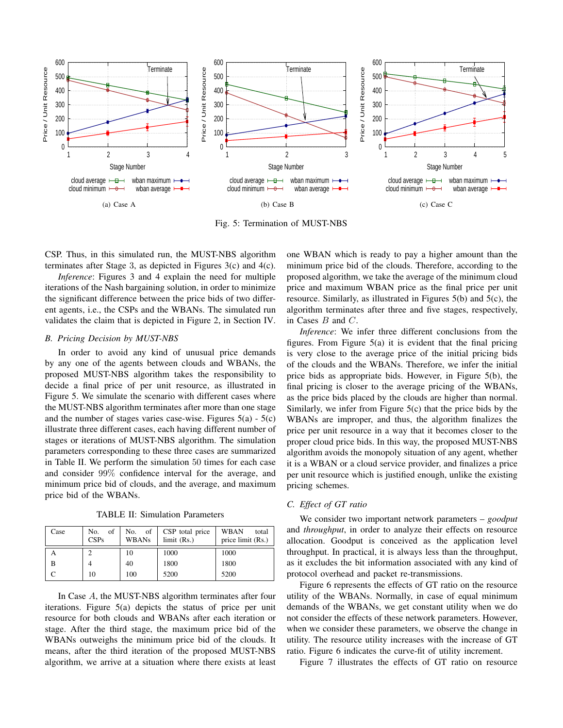

Fig. 5: Termination of MUST-NBS

CSP. Thus, in this simulated run, the MUST-NBS algorithm terminates after Stage 3, as depicted in Figures 3(c) and 4(c).

*Inference*: Figures 3 and 4 explain the need for multiple iterations of the Nash bargaining solution, in order to minimize the significant difference between the price bids of two different agents, i.e., the CSPs and the WBANs. The simulated run validates the claim that is depicted in Figure 2, in Section IV.

### *B. Pricing Decision by MUST-NBS*

In order to avoid any kind of unusual price demands by any one of the agents between clouds and WBANs, the proposed MUST-NBS algorithm takes the responsibility to decide a final price of per unit resource, as illustrated in Figure 5. We simulate the scenario with different cases where the MUST-NBS algorithm terminates after more than one stage and the number of stages varies case-wise. Figures  $5(a) - 5(c)$ illustrate three different cases, each having different number of stages or iterations of MUST-NBS algorithm. The simulation parameters corresponding to these three cases are summarized in Table II. We perform the simulation 50 times for each case and consider 99% confidence interval for the average, and minimum price bid of clouds, and the average, and maximum price bid of the WBANs.

TABLE II: Simulation Parameters

| Case | of<br>No.<br>CSPs | of<br>No.<br><b>WBANs</b> | CSP total price<br>$limit$ (Rs.) | <b>WBAN</b><br>total<br>price limit (Rs.) |
|------|-------------------|---------------------------|----------------------------------|-------------------------------------------|
|      |                   | 10                        | 1000                             | 1000                                      |
| В    |                   | 40                        | 1800                             | 1800                                      |
|      | 10                | 100                       | 5200                             | 5200                                      |

In Case A, the MUST-NBS algorithm terminates after four iterations. Figure 5(a) depicts the status of price per unit resource for both clouds and WBANs after each iteration or stage. After the third stage, the maximum price bid of the WBANs outweighs the minimum price bid of the clouds. It means, after the third iteration of the proposed MUST-NBS algorithm, we arrive at a situation where there exists at least one WBAN which is ready to pay a higher amount than the minimum price bid of the clouds. Therefore, according to the proposed algorithm, we take the average of the minimum cloud price and maximum WBAN price as the final price per unit resource. Similarly, as illustrated in Figures 5(b) and 5(c), the algorithm terminates after three and five stages, respectively, in Cases  $B$  and  $C$ .

*Inference*: We infer three different conclusions from the figures. From Figure  $5(a)$  it is evident that the final pricing is very close to the average price of the initial pricing bids of the clouds and the WBANs. Therefore, we infer the initial price bids as appropriate bids. However, in Figure 5(b), the final pricing is closer to the average pricing of the WBANs, as the price bids placed by the clouds are higher than normal. Similarly, we infer from Figure 5(c) that the price bids by the WBANs are improper, and thus, the algorithm finalizes the price per unit resource in a way that it becomes closer to the proper cloud price bids. In this way, the proposed MUST-NBS algorithm avoids the monopoly situation of any agent, whether it is a WBAN or a cloud service provider, and finalizes a price per unit resource which is justified enough, unlike the existing pricing schemes.

# *C. Effect of GT ratio*

We consider two important network parameters – *goodput* and *throughput*, in order to analyze their effects on resource allocation. Goodput is conceived as the application level throughput. In practical, it is always less than the throughput, as it excludes the bit information associated with any kind of protocol overhead and packet re-transmissions.

Figure 6 represents the effects of GT ratio on the resource utility of the WBANs. Normally, in case of equal minimum demands of the WBANs, we get constant utility when we do not consider the effects of these network parameters. However, when we consider these parameters, we observe the change in utility. The resource utility increases with the increase of GT ratio. Figure 6 indicates the curve-fit of utility increment.

Figure 7 illustrates the effects of GT ratio on resource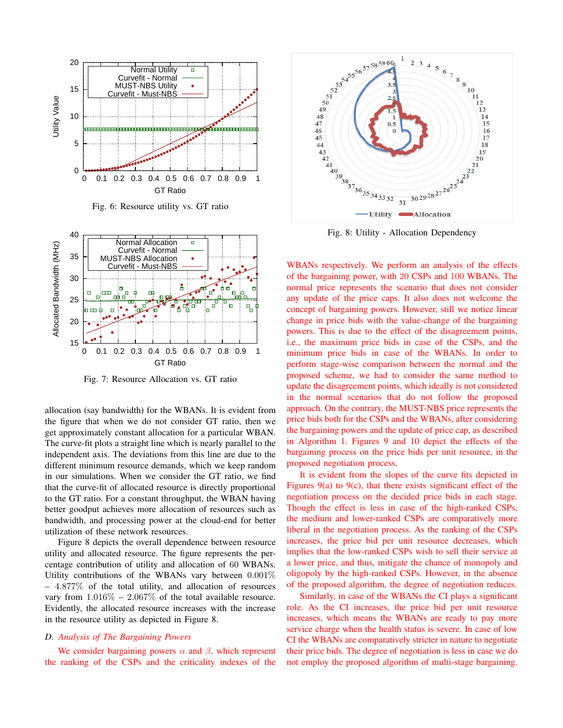

Fig. 6: Resource utility vs. GT ratio



Fig. 7: Resource Allocation vs. GT ratio

allocation (say bandwidth) for the WBANs. It is evident from the figure that when we do not consider GT ratio, then we get approximately constant allocation for a particular WBAN. The curve-fit plots a straight line which is nearly parallel to the independent axis. The deviations from this line are due to the different minimum resource demands, which we keep random in our simulations. When we consider the GT ratio, we find that the curve-fit of allocated resource is directly proportional to the GT ratio. For a constant throughput, the WBAN having better goodput achieves more allocation of resources such as bandwidth, and processing power at the cloud-end for better utilization of these network resources.

Figure 8 depicts the overall dependence between resource utility and allocated resource. The figure represents the percentage contribution of utility and allocation of 60 WBANs. Utility contributions of the WBANs vary between 0.001%  $-4.877\%$  of the total utility, and allocation of resources vary from  $1.016\% - 2.067\%$  of the total available resource. Evidently, the allocated resource increases with the increase in the resource utility as depicted in Figure 8.

# *D. Analysis of The Bargaining Powers*

We consider bargaining powers  $\alpha$  and  $\beta$ , which represent the ranking of the CSPs and the criticality indexes of the



Fig. 8: Utility - Allocation Dependency

WBANs respectively. We perform an analysis of the effects of the bargaining power, with 20 CSPs and 100 WBANs. The normal price represents the scenario that does not consider any update of the price caps. It also does not welcome the concept of bargaining powers. However, still we notice linear change in price bids with the value-change of the bargaining powers. This is due to the effect of the disagreement points, i.e., the maximum price bids in case of the CSPs, and the minimum price bids in case of the WBANs. In order to perform stage-wise comparison between the normal and the proposed scheme, we had to consider the same method to update the disagreement points, which ideally is not considered in the normal scenarios that do not follow the proposed approach. On the contrary, the MUST-NBS price represents the price bids both for the CSPs and the WBANs, after considering the bargaining powers and the update of price cap, as described in Algorithm 1. Figures 9 and 10 depict the effects of the bargaining process on the price bids per unit resource, in the proposed negotiation process.

It is evident from the slopes of the curve fits depicted in Figures 9(a) to 9(c), that there exists significant effect of the negotiation process on the decided price bids in each stage. Though the effect is less in case of the high-ranked CSPs, the medium and lower-ranked CSPs are comparatively more liberal in the negotiation process. As the ranking of the CSPs increases, the price bid per unit resource decreases, which implies that the low-ranked CSPs wish to sell their service at a lower price, and thus, mitigate the chance of monopoly and oligopoly by the high-ranked CSPs. However, in the absence of the proposed algorithm, the degree of negotiation reduces.

Similarly, in case of the WBANs the CI plays a significant role. As the CI increases, the price bid per unit resource increases, which means the WBANs are ready to pay more service charge when the health status is severe. In case of low CI the WBANs are comparatively stricter in nature to negotiate their price bids. The degree of negotiation is less in case we do not employ the proposed algorithm of multi-stage bargaining.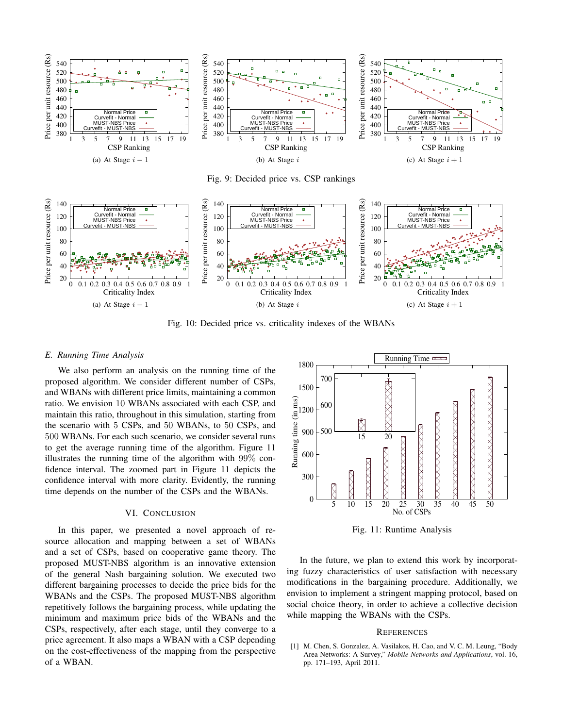

Fig. 9: Decided price vs. CSP rankings



Fig. 10: Decided price vs. criticality indexes of the WBANs

#### *E. Running Time Analysis*

We also perform an analysis on the running time of the proposed algorithm. We consider different number of CSPs, and WBANs with different price limits, maintaining a common ratio. We envision 10 WBANs associated with each CSP, and maintain this ratio, throughout in this simulation, starting from the scenario with 5 CSPs, and 50 WBANs, to 50 CSPs, and 500 WBANs. For each such scenario, we consider several runs to get the average running time of the algorithm. Figure 11 illustrates the running time of the algorithm with 99% confidence interval. The zoomed part in Figure 11 depicts the confidence interval with more clarity. Evidently, the running time depends on the number of the CSPs and the WBANs.

#### VI. CONCLUSION

In this paper, we presented a novel approach of resource allocation and mapping between a set of WBANs and a set of CSPs, based on cooperative game theory. The proposed MUST-NBS algorithm is an innovative extension of the general Nash bargaining solution. We executed two different bargaining processes to decide the price bids for the WBANs and the CSPs. The proposed MUST-NBS algorithm repetitively follows the bargaining process, while updating the minimum and maximum price bids of the WBANs and the CSPs, respectively, after each stage, until they converge to a price agreement. It also maps a WBAN with a CSP depending on the cost-effectiveness of the mapping from the perspective of a WBAN.



Fig. 11: Runtime Analysis

In the future, we plan to extend this work by incorporating fuzzy characteristics of user satisfaction with necessary modifications in the bargaining procedure. Additionally, we envision to implement a stringent mapping protocol, based on social choice theory, in order to achieve a collective decision while mapping the WBANs with the CSPs.

#### **REFERENCES**

[1] M. Chen, S. Gonzalez, A. Vasilakos, H. Cao, and V. C. M. Leung, "Body Area Networks: A Survey," *Mobile Networks and Applications*, vol. 16, pp. 171–193, April 2011.